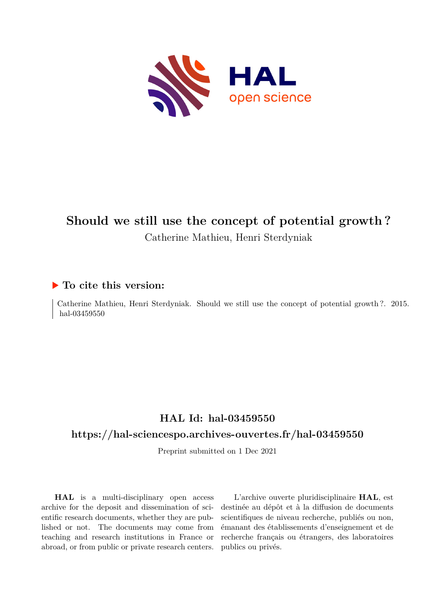

## **Should we still use the concept of potential growth ?** Catherine Mathieu, Henri Sterdyniak

## **To cite this version:**

Catherine Mathieu, Henri Sterdyniak. Should we still use the concept of potential growth ?. 2015. hal-03459550

## **HAL Id: hal-03459550**

## **<https://hal-sciencespo.archives-ouvertes.fr/hal-03459550>**

Preprint submitted on 1 Dec 2021

**HAL** is a multi-disciplinary open access archive for the deposit and dissemination of scientific research documents, whether they are published or not. The documents may come from teaching and research institutions in France or abroad, or from public or private research centers.

L'archive ouverte pluridisciplinaire **HAL**, est destinée au dépôt et à la diffusion de documents scientifiques de niveau recherche, publiés ou non, émanant des établissements d'enseignement et de recherche français ou étrangers, des laboratoires publics ou privés.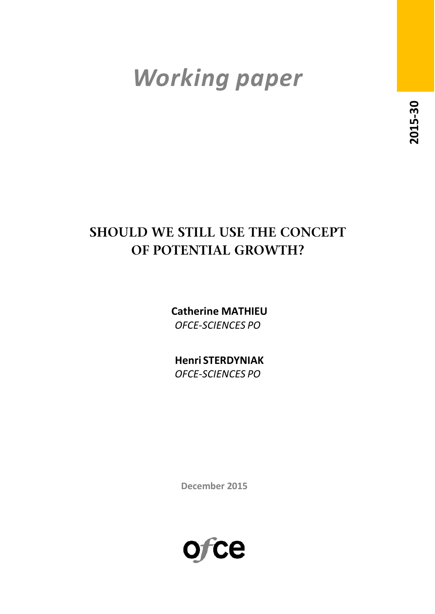# *Working paper*

## **SHOULD WE STILL USE THE CONCEPT OF POTENTIAL GROWTH?**

## **Catherine MATHIEU** *OFCE-SCIENCES PO*

## **Henri STERDYNIAK** *OFCE-SCIENCES PO*

**December 2015**

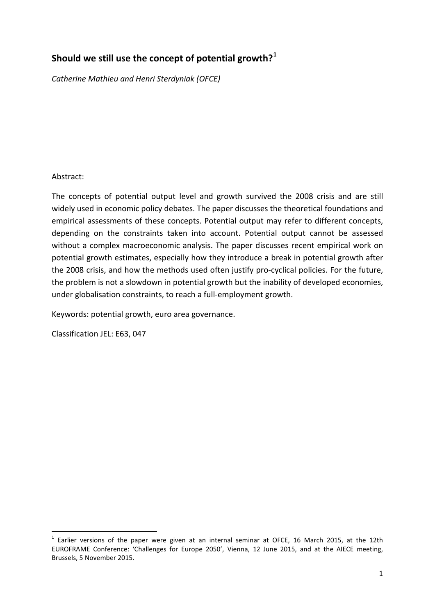## **Should we still use the concept of potential growth?[1](#page-2-0)**

*Catherine Mathieu and Henri Sterdyniak (OFCE)*

## Abstract:

The concepts of potential output level and growth survived the 2008 crisis and are still widely used in economic policy debates. The paper discusses the theoretical foundations and empirical assessments of these concepts. Potential output may refer to different concepts, depending on the constraints taken into account. Potential output cannot be assessed without a complex macroeconomic analysis. The paper discusses recent empirical work on potential growth estimates, especially how they introduce a break in potential growth after the 2008 crisis, and how the methods used often justify pro-cyclical policies. For the future, the problem is not a slowdown in potential growth but the inability of developed economies, under globalisation constraints, to reach a full-employment growth.

Keywords: potential growth, euro area governance.

Classification JEL: E63, 047

<span id="page-2-0"></span> $<sup>1</sup>$  Earlier versions of the paper were given at an internal seminar at OFCE, 16 March 2015, at the 12th</sup> EUROFRAME Conference: 'Challenges for Europe 2050', Vienna, 12 June 2015, and at the AIECE meeting, Brussels, 5 November 2015.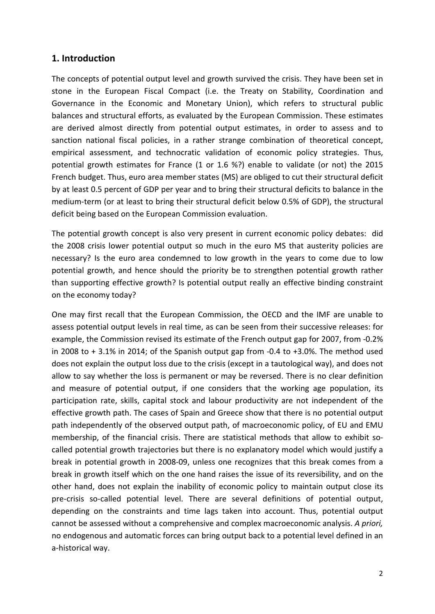## **1. Introduction**

The concepts of potential output level and growth survived the crisis. They have been set in stone in the European Fiscal Compact (i.e. the Treaty on Stability, Coordination and Governance in the Economic and Monetary Union), which refers to structural public balances and structural efforts, as evaluated by the European Commission. These estimates are derived almost directly from potential output estimates, in order to assess and to sanction national fiscal policies, in a rather strange combination of theoretical concept, empirical assessment, and technocratic validation of economic policy strategies. Thus, potential growth estimates for France (1 or 1.6 %?) enable to validate (or not) the 2015 French budget. Thus, euro area member states (MS) are obliged to cut their structural deficit by at least 0.5 percent of GDP per year and to bring their structural deficits to balance in the medium-term (or at least to bring their structural deficit below 0.5% of GDP), the structural deficit being based on the European Commission evaluation.

The potential growth concept is also very present in current economic policy debates: did the 2008 crisis lower potential output so much in the euro MS that austerity policies are necessary? Is the euro area condemned to low growth in the years to come due to low potential growth, and hence should the priority be to strengthen potential growth rather than supporting effective growth? Is potential output really an effective binding constraint on the economy today?

One may first recall that the European Commission, the OECD and the IMF are unable to assess potential output levels in real time, as can be seen from their successive releases: for example, the Commission revised its estimate of the French output gap for 2007, from -0.2% in 2008 to  $+3.1\%$  in 2014; of the Spanish output gap from -0.4 to  $+3.0\%$ . The method used does not explain the output loss due to the crisis (except in a tautological way), and does not allow to say whether the loss is permanent or may be reversed. There is no clear definition and measure of potential output, if one considers that the working age population, its participation rate, skills, capital stock and labour productivity are not independent of the effective growth path. The cases of Spain and Greece show that there is no potential output path independently of the observed output path, of macroeconomic policy, of EU and EMU membership, of the financial crisis. There are statistical methods that allow to exhibit socalled potential growth trajectories but there is no explanatory model which would justify a break in potential growth in 2008-09, unless one recognizes that this break comes from a break in growth itself which on the one hand raises the issue of its reversibility, and on the other hand, does not explain the inability of economic policy to maintain output close its pre-crisis so-called potential level. There are several definitions of potential output, depending on the constraints and time lags taken into account. Thus, potential output cannot be assessed without a comprehensive and complex macroeconomic analysis. *A priori,*  no endogenous and automatic forces can bring output back to a potential level defined in an a-historical way.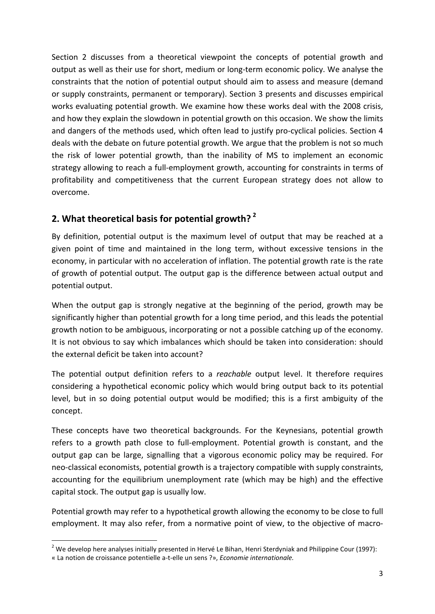Section 2 discusses from a theoretical viewpoint the concepts of potential growth and output as well as their use for short, medium or long-term economic policy. We analyse the constraints that the notion of potential output should aim to assess and measure (demand or supply constraints, permanent or temporary). Section 3 presents and discusses empirical works evaluating potential growth. We examine how these works deal with the 2008 crisis, and how they explain the slowdown in potential growth on this occasion. We show the limits and dangers of the methods used, which often lead to justify pro-cyclical policies. Section 4 deals with the debate on future potential growth. We argue that the problem is not so much the risk of lower potential growth, than the inability of MS to implement an economic strategy allowing to reach a full-employment growth, accounting for constraints in terms of profitability and competitiveness that the current European strategy does not allow to overcome.

## **2. What theoretical basis for potential growth? [2](#page-4-0)**

By definition, potential output is the maximum level of output that may be reached at a given point of time and maintained in the long term, without excessive tensions in the economy, in particular with no acceleration of inflation. The potential growth rate is the rate of growth of potential output. The output gap is the difference between actual output and potential output.

When the output gap is strongly negative at the beginning of the period, growth may be significantly higher than potential growth for a long time period, and this leads the potential growth notion to be ambiguous, incorporating or not a possible catching up of the economy. It is not obvious to say which imbalances which should be taken into consideration: should the external deficit be taken into account?

The potential output definition refers to a *reachable* output level. It therefore requires considering a hypothetical economic policy which would bring output back to its potential level, but in so doing potential output would be modified; this is a first ambiguity of the concept.

These concepts have two theoretical backgrounds. For the Keynesians, potential growth refers to a growth path close to full-employment. Potential growth is constant, and the output gap can be large, signalling that a vigorous economic policy may be required. For neo-classical economists, potential growth is a trajectory compatible with supply constraints, accounting for the equilibrium unemployment rate (which may be high) and the effective capital stock. The output gap is usually low.

Potential growth may refer to a hypothetical growth allowing the economy to be close to full employment. It may also refer, from a normative point of view, to the objective of macro-

<span id="page-4-0"></span><sup>&</sup>lt;sup>2</sup> We develop here analyses initially presented in Hervé Le Bihan, Henri Sterdyniak and Philippine Cour (1997):

<sup>«</sup> La notion de croissance potentielle a-t-elle un sens ?», *Economie internationale.*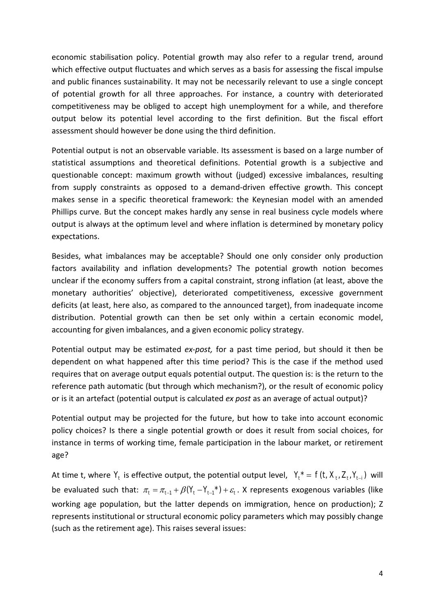economic stabilisation policy. Potential growth may also refer to a regular trend, around which effective output fluctuates and which serves as a basis for assessing the fiscal impulse and public finances sustainability. It may not be necessarily relevant to use a single concept of potential growth for all three approaches. For instance, a country with deteriorated competitiveness may be obliged to accept high unemployment for a while, and therefore output below its potential level according to the first definition. But the fiscal effort assessment should however be done using the third definition.

Potential output is not an observable variable. Its assessment is based on a large number of statistical assumptions and theoretical definitions. Potential growth is a subjective and questionable concept: maximum growth without (judged) excessive imbalances, resulting from supply constraints as opposed to a demand-driven effective growth. This concept makes sense in a specific theoretical framework: the Keynesian model with an amended Phillips curve. But the concept makes hardly any sense in real business cycle models where output is always at the optimum level and where inflation is determined by monetary policy expectations.

Besides, what imbalances may be acceptable? Should one only consider only production factors availability and inflation developments? The potential growth notion becomes unclear if the economy suffers from a capital constraint, strong inflation (at least, above the monetary authorities' objective), deteriorated competitiveness, excessive government deficits (at least, here also, as compared to the announced target), from inadequate income distribution. Potential growth can then be set only within a certain economic model, accounting for given imbalances, and a given economic policy strategy.

Potential output may be estimated *ex-post,* for a past time period, but should it then be dependent on what happened after this time period? This is the case if the method used requires that on average output equals potential output. The question is: is the return to the reference path automatic (but through which mechanism?), or the result of economic policy or is it an artefact (potential output is calculated *ex post* as an average of actual output)?

Potential output may be projected for the future, but how to take into account economic policy choices? Is there a single potential growth or does it result from social choices, for instance in terms of working time, female participation in the labour market, or retirement age?

At time *t*, where *Y<sub>t</sub>* is effective output, the potential output level,  $Y_t^* = f(t, X_t, Z_t, Y_{t-i})$  will be evaluated such that:  $\pi_{t} = \pi_{t-1} + \beta(Y_{t-1} - Y_{t-1}^*) + \varepsilon_t$ . X represents exogenous variables (like working age population, but the latter depends on immigration, hence on production); Z represents institutional or structural economic policy parameters which may possibly change (such as the retirement age). This raises several issues: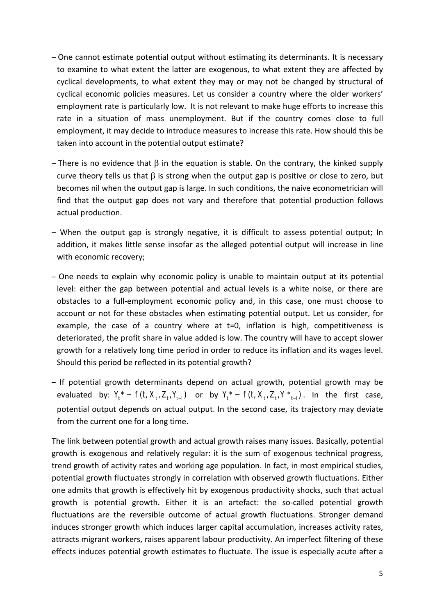- One cannot estimate potential output without estimating its determinants. It is necessary to examine to what extent the latter are exogenous, to what extent they are affected by cyclical developments, to what extent they may or may not be changed by structural of cyclical economic policies measures. Let us consider a country where the older workers' employment rate is particularly low. It is not relevant to make huge efforts to increase this rate in a situation of mass unemployment. But if the country comes close to full employment, it may decide to introduce measures to increase this rate. How should this be taken into account in the potential output estimate?
- There is no evidence that β in the equation is stable. On the contrary, the kinked supply curve theory tells us that  $\beta$  is strong when the output gap is positive or close to zero, but becomes nil when the output gap is large. In such conditions, the naive econometrician will find that the output gap does not vary and therefore that potential production follows actual production.
- When the output gap is strongly negative, it is difficult to assess potential output; In addition, it makes little sense insofar as the alleged potential output will increase in line with economic recovery;
- One needs to explain why economic policy is unable to maintain output at its potential level: either the gap between potential and actual levels is a white noise, or there are obstacles to a full-employment economic policy and, in this case, one must choose to account or not for these obstacles when estimating potential output. Let us consider, for example, the case of a country where at t=0, inflation is high, competitiveness is deteriorated, the profit share in value added is low. The country will have to accept slower growth for a relatively long time period in order to reduce its inflation and its wages level. Should this period be reflected in its potential growth?
- If potential growth determinants depend on actual growth, potential growth may be evaluated by:  $Y_t^* = f(t, X_t, Z_t, Y_{t-i})$  or by  $Y_t^* = f(t, X_t, Z_t, Y_{t-i}^*)$ . In the first case, potential output depends on actual output. In the second case, its trajectory may deviate from the current one for a long time.

The link between potential growth and actual growth raises many issues. Basically, potential growth is exogenous and relatively regular: it is the sum of exogenous technical progress, trend growth of activity rates and working age population. In fact, in most empirical studies, potential growth fluctuates strongly in correlation with observed growth fluctuations. Either one admits that growth is effectively hit by exogenous productivity shocks, such that actual growth is potential growth. Either it is an artefact: the so-called potential growth fluctuations are the reversible outcome of actual growth fluctuations. Stronger demand induces stronger growth which induces larger capital accumulation, increases activity rates, attracts migrant workers, raises apparent labour productivity. An imperfect filtering of these effects induces potential growth estimates to fluctuate. The issue is especially acute after a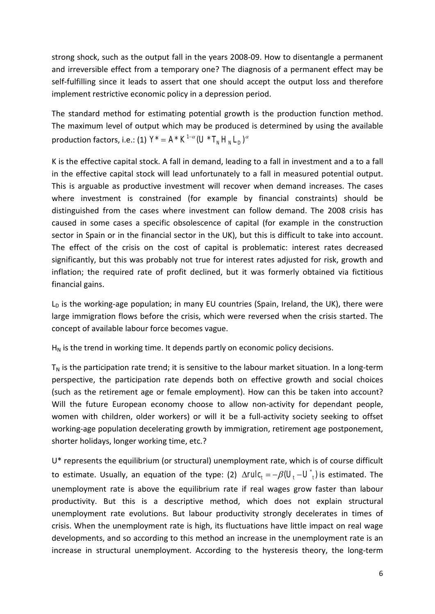strong shock, such as the output fall in the years 2008-09. How to disentangle a permanent and irreversible effect from a temporary one? The diagnosis of a permanent effect may be self-fulfilling since it leads to assert that one should accept the output loss and therefore implement restrictive economic policy in a depression period.

The standard method for estimating potential growth is the production function method. The maximum level of output which may be produced is determined by using the available production factors, i.e.: (1)  $Y^* = A^*K^{1-\alpha}(U^*T_{_N}H_{_N}L_{_D})^{\alpha}$ 

K is the effective capital stock. A fall in demand, leading to a fall in investment and a to a fall in the effective capital stock will lead unfortunately to a fall in measured potential output. This is arguable as productive investment will recover when demand increases. The cases where investment is constrained (for example by financial constraints) should be distinguished from the cases where investment can follow demand. The 2008 crisis has caused in some cases a specific obsolescence of capital (for example in the construction sector in Spain or in the financial sector in the UK), but this is difficult to take into account. The effect of the crisis on the cost of capital is problematic: interest rates decreased significantly, but this was probably not true for interest rates adjusted for risk, growth and inflation; the required rate of profit declined, but it was formerly obtained via fictitious financial gains.

 $L<sub>D</sub>$  is the working-age population; in many EU countries (Spain, Ireland, the UK), there were large immigration flows before the crisis, which were reversed when the crisis started. The concept of available labour force becomes vague.

 $H_N$  is the trend in working time. It depends partly on economic policy decisions.

 $T_N$  is the participation rate trend; it is sensitive to the labour market situation. In a long-term perspective, the participation rate depends both on effective growth and social choices (such as the retirement age or female employment). How can this be taken into account? Will the future European economy choose to allow non-activity for dependant people, women with children, older workers) or will it be a full-activity society seeking to offset working-age population decelerating growth by immigration, retirement age postponement, shorter holidays, longer working time, etc.?

U\* represents the equilibrium (or structural) unemployment rate, which is of course difficult to estimate. Usually, an equation of the type: (2)  $\Delta rule_r = -\beta(U_r - U^*)$  is estimated. The unemployment rate is above the equilibrium rate if real wages grow faster than labour productivity. But this is a descriptive method, which does not explain structural unemployment rate evolutions. But labour productivity strongly decelerates in times of crisis. When the unemployment rate is high, its fluctuations have little impact on real wage developments, and so according to this method an increase in the unemployment rate is an increase in structural unemployment. According to the hysteresis theory, the long-term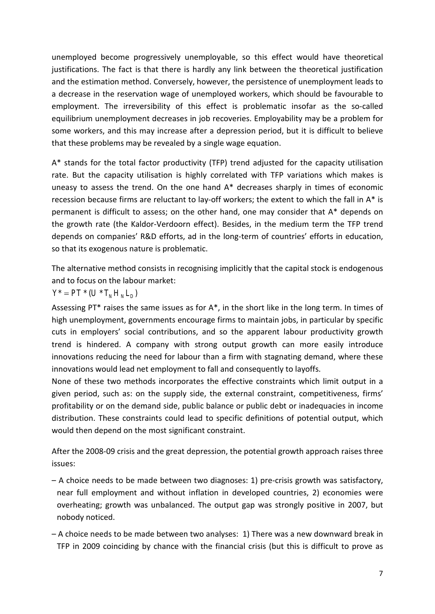unemployed become progressively unemployable, so this effect would have theoretical justifications. The fact is that there is hardly any link between the theoretical justification and the estimation method. Conversely, however, the persistence of unemployment leads to a decrease in the reservation wage of unemployed workers, which should be favourable to employment. The irreversibility of this effect is problematic insofar as the so-called equilibrium unemployment decreases in job recoveries. Employability may be a problem for some workers, and this may increase after a depression period, but it is difficult to believe that these problems may be revealed by a single wage equation.

A\* stands for the total factor productivity (TFP) trend adjusted for the capacity utilisation rate. But the capacity utilisation is highly correlated with TFP variations which makes is uneasy to assess the trend. On the one hand A\* decreases sharply in times of economic recession because firms are reluctant to lay-off workers; the extent to which the fall in A\* is permanent is difficult to assess; on the other hand, one may consider that A\* depends on the growth rate (the Kaldor-Verdoorn effect). Besides, in the medium term the TFP trend depends on companies' R&D efforts, ad in the long-term of countries' efforts in education, so that its exogenous nature is problematic.

The alternative method consists in recognising implicitly that the capital stock is endogenous and to focus on the labour market:

$$
Y^* = PT^*(U^*T_{\scriptscriptstyle N}H_{\scriptscriptstyle N}L_{\scriptscriptstyle D})
$$

Assessing PT\* raises the same issues as for  $A^*$ , in the short like in the long term. In times of high unemployment, governments encourage firms to maintain jobs, in particular by specific cuts in employers' social contributions, and so the apparent labour productivity growth trend is hindered. A company with strong output growth can more easily introduce innovations reducing the need for labour than a firm with stagnating demand, where these innovations would lead net employment to fall and consequently to layoffs.

None of these two methods incorporates the effective constraints which limit output in a given period, such as: on the supply side, the external constraint, competitiveness, firms' profitability or on the demand side, public balance or public debt or inadequacies in income distribution. These constraints could lead to specific definitions of potential output, which would then depend on the most significant constraint.

After the 2008-09 crisis and the great depression, the potential growth approach raises three issues:

- A choice needs to be made between two diagnoses: 1) pre-crisis growth was satisfactory, near full employment and without inflation in developed countries, 2) economies were overheating; growth was unbalanced. The output gap was strongly positive in 2007, but nobody noticed.
- A choice needs to be made between two analyses: 1) There was a new downward break in TFP in 2009 coinciding by chance with the financial crisis (but this is difficult to prove as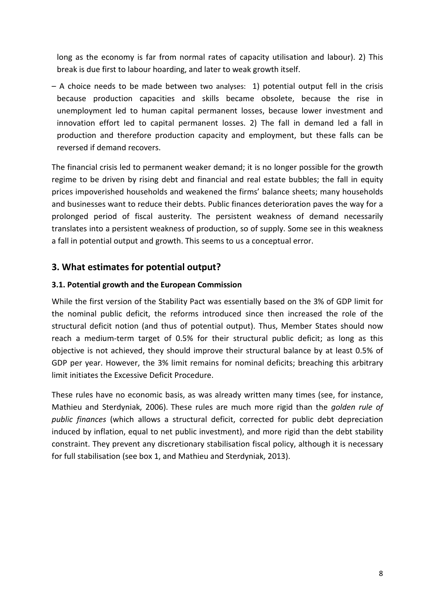long as the economy is far from normal rates of capacity utilisation and labour). 2) This break is due first to labour hoarding, and later to weak growth itself.

– A choice needs to be made between two analyses: 1) potential output fell in the crisis because production capacities and skills became obsolete, because the rise in unemployment led to human capital permanent losses, because lower investment and innovation effort led to capital permanent losses. 2) The fall in demand led a fall in production and therefore production capacity and employment, but these falls can be reversed if demand recovers.

The financial crisis led to permanent weaker demand; it is no longer possible for the growth regime to be driven by rising debt and financial and real estate bubbles; the fall in equity prices impoverished households and weakened the firms' balance sheets; many households and businesses want to reduce their debts. Public finances deterioration paves the way for a prolonged period of fiscal austerity. The persistent weakness of demand necessarily translates into a persistent weakness of production, so of supply. Some see in this weakness a fall in potential output and growth. This seems to us a conceptual error.

## **3. What estimates for potential output?**

## **3.1. Potential growth and the European Commission**

While the first version of the Stability Pact was essentially based on the 3% of GDP limit for the nominal public deficit, the reforms introduced since then increased the role of the structural deficit notion (and thus of potential output). Thus, Member States should now reach a medium-term target of 0.5% for their structural public deficit; as long as this objective is not achieved, they should improve their structural balance by at least 0.5% of GDP per year. However, the 3% limit remains for nominal deficits; breaching this arbitrary limit initiates the Excessive Deficit Procedure.

These rules have no economic basis, as was already written many times (see, for instance, Mathieu and Sterdyniak, 2006). These rules are much more rigid than the *golden rule of public finances* (which allows a structural deficit, corrected for public debt depreciation induced by inflation, equal to net public investment), and more rigid than the debt stability constraint. They prevent any discretionary stabilisation fiscal policy, although it is necessary for full stabilisation (see box 1, and Mathieu and Sterdyniak, 2013).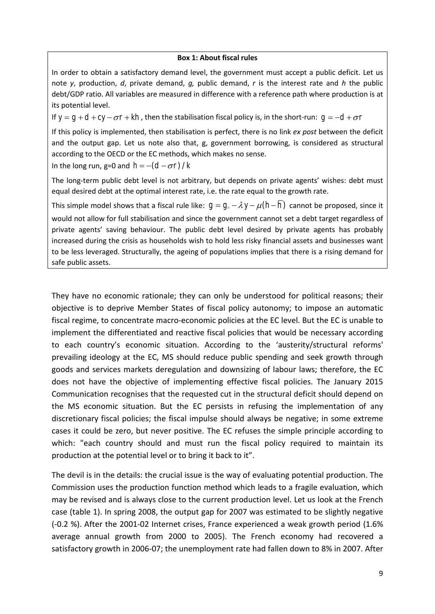#### **Box 1: About fiscal rules**

In order to obtain a satisfactory demand level, the government must accept a public deficit. Let us note *y*, production, *d*, private demand, *g,* public demand, *r* is the interest rate and *h* the public debt/GDP ratio. All variables are measured in difference with a reference path where production is at its potential level.

If  $y = g + d + cy - \sigma r + kh$ , then the stabilisation fiscal policy is, in the short-run:  $g = -d + \sigma r$ 

If this policy is implemented, then stabilisation is perfect, there is no link *ex post* between the deficit and the output gap. Let us note also that, g, government borrowing, is considered as structural according to the OECD or the EC methods, which makes no sense.

In the long run, g=0 and  $h = -(d - \sigma r)/k$ 

The long-term public debt level is not arbitrary, but depends on private agents' wishes: debt must equal desired debt at the optimal interest rate, i.e. the rate equal to the growth rate.

This simple model shows that a fiscal rule like:  $g = g_{\circ} - \lambda y - \mu ( h - \overline{h} )$  cannot be proposed, since it would not allow for full stabilisation and since the government cannot set a debt target regardless of private agents' saving behaviour. The public debt level desired by private agents has probably increased during the crisis as households wish to hold less risky financial assets and businesses want to be less leveraged. Structurally, the ageing of populations implies that there is a rising demand for safe public assets.

They have no economic rationale; they can only be understood for political reasons; their objective is to deprive Member States of fiscal policy autonomy; to impose an automatic fiscal regime, to concentrate macro-economic policies at the EC level. But the EC is unable to implement the differentiated and reactive fiscal policies that would be necessary according to each country's economic situation. According to the 'austerity/structural reforms' prevailing ideology at the EC, MS should reduce public spending and seek growth through goods and services markets deregulation and downsizing of labour laws; therefore, the EC does not have the objective of implementing effective fiscal policies. The January 2015 Communication recognises that the requested cut in the structural deficit should depend on the MS economic situation. But the EC persists in refusing the implementation of any discretionary fiscal policies; the fiscal impulse should always be negative; in some extreme cases it could be zero, but never positive. The EC refuses the simple principle according to which: "each country should and must run the fiscal policy required to maintain its production at the potential level or to bring it back to it".

The devil is in the details: the crucial issue is the way of evaluating potential production. The Commission uses the production function method which leads to a fragile evaluation, which may be revised and is always close to the current production level. Let us look at the French case (table 1). In spring 2008, the output gap for 2007 was estimated to be slightly negative (-0.2 %). After the 2001-02 Internet crises, France experienced a weak growth period (1.6% average annual growth from 2000 to 2005). The French economy had recovered a satisfactory growth in 2006-07; the unemployment rate had fallen down to 8% in 2007. After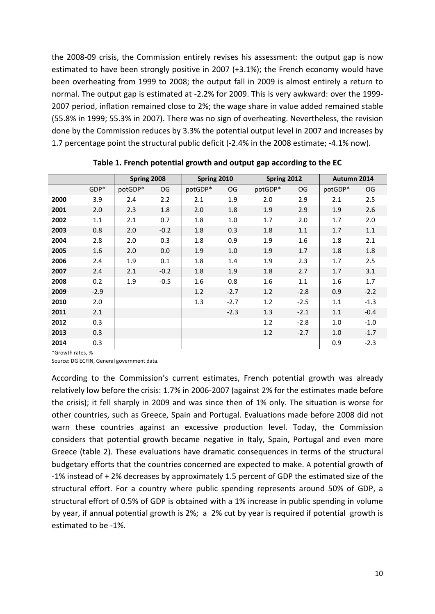the 2008-09 crisis, the Commission entirely revises his assessment: the output gap is now estimated to have been strongly positive in 2007 (+3.1%); the French economy would have been overheating from 1999 to 2008; the output fall in 2009 is almost entirely a return to normal. The output gap is estimated at -2.2% for 2009. This is very awkward: over the 1999- 2007 period, inflation remained close to 2%; the wage share in value added remained stable (55.8% in 1999; 55.3% in 2007). There was no sign of overheating. Nevertheless, the revision done by the Commission reduces by 3.3% the potential output level in 2007 and increases by 1.7 percentage point the structural public deficit (-2.4% in the 2008 estimate; -4.1% now).

|      |        | Spring 2008 |        | Spring 2010 |        | Spring 2012 |        | Autumn 2014 |        |
|------|--------|-------------|--------|-------------|--------|-------------|--------|-------------|--------|
|      | $GDP*$ | potGDP*     | OG     | potGDP*     | OG     | potGDP*     | OG     | potGDP*     | OG     |
| 2000 | 3.9    | 2.4         | 2.2    | 2.1         | 1.9    | 2.0         | 2.9    | 2.1         | 2.5    |
| 2001 | 2.0    | 2.3         | 1.8    | 2.0         | 1.8    | 1.9         | 2.9    | 1.9         | 2.6    |
| 2002 | 1.1    | 2.1         | 0.7    | 1.8         | 1.0    | 1.7         | 2.0    | 1.7         | 2.0    |
| 2003 | 0.8    | 2.0         | $-0.2$ | 1.8         | 0.3    | 1.8         | 1.1    | 1.7         | 1.1    |
| 2004 | 2.8    | 2.0         | 0.3    | 1.8         | 0.9    | 1.9         | 1.6    | 1.8         | 2.1    |
| 2005 | 1.6    | 2.0         | 0.0    | 1.9         | 1.0    | 1.9         | 1.7    | 1.8         | 1.8    |
| 2006 | 2.4    | 1.9         | 0.1    | 1.8         | 1.4    | 1.9         | 2.3    | 1.7         | 2.5    |
| 2007 | 2.4    | 2.1         | $-0.2$ | 1.8         | 1.9    | 1.8         | 2.7    | 1.7         | 3.1    |
| 2008 | 0.2    | 1.9         | $-0.5$ | 1.6         | 0.8    | 1.6         | 1.1    | 1.6         | 1.7    |
| 2009 | $-2.9$ |             |        | 1.2         | $-2.7$ | 1.2         | $-2.8$ | 0.9         | $-2.2$ |
| 2010 | 2.0    |             |        | 1.3         | $-2.7$ | 1.2         | $-2.5$ | 1.1         | $-1.3$ |
| 2011 | 2.1    |             |        |             | $-2.3$ | 1.3         | $-2.1$ | 1.1         | $-0.4$ |
| 2012 | 0.3    |             |        |             |        | 1.2         | $-2.8$ | 1.0         | $-1.0$ |
| 2013 | 0.3    |             |        |             |        | 1.2         | $-2.7$ | 1.0         | $-1.7$ |
| 2014 | 0.3    |             |        |             |        |             |        | 0.9         | $-2.3$ |

**Table 1. French potential growth and output gap according to the EC**

\*Growth rates, %

Source: DG ECFIN, General government data.

According to the Commission's current estimates, French potential growth was already relatively low before the crisis: 1.7% in 2006-2007 (against 2% for the estimates made before the crisis); it fell sharply in 2009 and was since then of 1% only. The situation is worse for other countries, such as Greece, Spain and Portugal. Evaluations made before 2008 did not warn these countries against an excessive production level. Today, the Commission considers that potential growth became negative in Italy, Spain, Portugal and even more Greece (table 2). These evaluations have dramatic consequences in terms of the structural budgetary efforts that the countries concerned are expected to make. A potential growth of -1% instead of + 2% decreases by approximately 1.5 percent of GDP the estimated size of the structural effort. For a country where public spending represents around 50% of GDP, a structural effort of 0.5% of GDP is obtained with a 1% increase in public spending in volume by year, if annual potential growth is 2%; a 2% cut by year is required if potential growth is estimated to be -1%.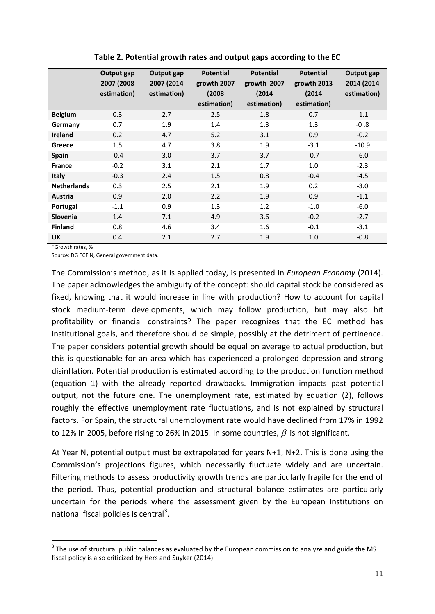|                    | Output gap<br>2007 (2008<br>estimation) | Output gap<br>2007 (2014<br>estimation) | <b>Potential</b><br>growth 2007<br>(2008)<br>estimation) | <b>Potential</b><br>growth 2007<br>(2014)<br>estimation) | <b>Potential</b><br>growth 2013<br>(2014)<br>estimation) | <b>Output gap</b><br>2014 (2014<br>estimation) |
|--------------------|-----------------------------------------|-----------------------------------------|----------------------------------------------------------|----------------------------------------------------------|----------------------------------------------------------|------------------------------------------------|
| <b>Belgium</b>     | 0.3                                     | 2.7                                     | 2.5                                                      | 1.8                                                      | 0.7                                                      | $-1.1$                                         |
| Germany            | 0.7                                     | 1.9                                     | 1.4                                                      | 1.3                                                      | 1.3                                                      | $-0.8$                                         |
| <b>Ireland</b>     | 0.2                                     | 4.7                                     | 5.2                                                      | 3.1                                                      | 0.9                                                      | $-0.2$                                         |
| Greece             | 1.5                                     | 4.7                                     | 3.8                                                      | 1.9                                                      | $-3.1$                                                   | $-10.9$                                        |
| <b>Spain</b>       | $-0.4$                                  | 3.0                                     | 3.7                                                      | 3.7                                                      | $-0.7$                                                   | $-6.0$                                         |
| <b>France</b>      | $-0.2$                                  | 3.1                                     | 2.1                                                      | 1.7                                                      | 1.0                                                      | $-2.3$                                         |
| <b>Italy</b>       | $-0.3$                                  | 2.4                                     | 1.5                                                      | 0.8                                                      | $-0.4$                                                   | $-4.5$                                         |
| <b>Netherlands</b> | 0.3                                     | 2.5                                     | 2.1                                                      | 1.9                                                      | 0.2                                                      | $-3.0$                                         |
| <b>Austria</b>     | 0.9                                     | 2.0                                     | 2.2                                                      | 1.9                                                      | 0.9                                                      | $-1.1$                                         |
| Portugal           | $-1.1$                                  | 0.9                                     | 1.3                                                      | 1.2                                                      | $-1.0$                                                   | $-6.0$                                         |
| Slovenia           | 1.4                                     | 7.1                                     | 4.9                                                      | 3.6                                                      | $-0.2$                                                   | $-2.7$                                         |
| <b>Finland</b>     | 0.8                                     | 4.6                                     | 3.4                                                      | 1.6                                                      | $-0.1$                                                   | $-3.1$                                         |
| <b>UK</b>          | 0.4                                     | 2.1                                     | 2.7                                                      | 1.9                                                      | 1.0                                                      | $-0.8$                                         |

| Table 2. Potential growth rates and output gaps according to the EC |  |  |
|---------------------------------------------------------------------|--|--|
|---------------------------------------------------------------------|--|--|

\*Growth rates, %

Source: DG ECFIN, General government data.

The Commission's method, as it is applied today, is presented in *European Economy* (2014). The paper acknowledges the ambiguity of the concept: should capital stock be considered as fixed, knowing that it would increase in line with production? How to account for capital stock medium-term developments, which may follow production, but may also hit profitability or financial constraints? The paper recognizes that the EC method has institutional goals, and therefore should be simple, possibly at the detriment of pertinence. The paper considers potential growth should be equal on average to actual production, but this is questionable for an area which has experienced a prolonged depression and strong disinflation. Potential production is estimated according to the production function method (equation 1) with the already reported drawbacks. Immigration impacts past potential output, not the future one. The unemployment rate, estimated by equation (2), follows roughly the effective unemployment rate fluctuations, and is not explained by structural factors. For Spain, the structural unemployment rate would have declined from 17% in 1992 to 12% in 2005, before rising to 26% in 2015. In some countries,  $\beta$  is not significant.

At Year N, potential output must be extrapolated for years N+1, N+2. This is done using the Commission's projections figures, which necessarily fluctuate widely and are uncertain. Filtering methods to assess productivity growth trends are particularly fragile for the end of the period. Thus, potential production and structural balance estimates are particularly uncertain for the periods where the assessment given by the European Institutions on national fiscal policies is central<sup>[3](#page-12-0)</sup>.

<span id="page-12-0"></span><sup>&</sup>lt;sup>3</sup> The use of structural public balances as evaluated by the European commission to analyze and guide the MS fiscal policy is also criticized by Hers and Suyker (2014).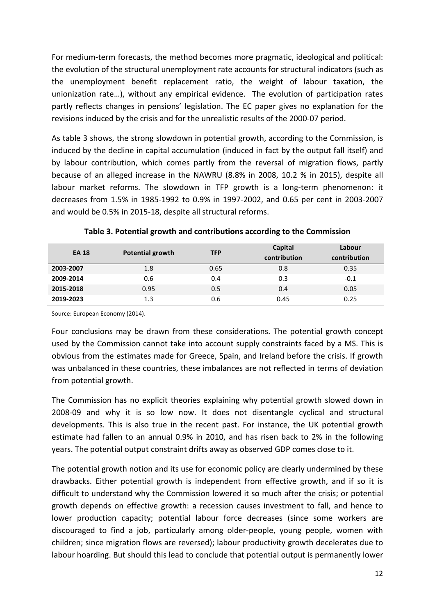For medium-term forecasts, the method becomes more pragmatic, ideological and political: the evolution of the structural unemployment rate accounts for structural indicators (such as the unemployment benefit replacement ratio, the weight of labour taxation, the unionization rate…), without any empirical evidence. The evolution of participation rates partly reflects changes in pensions' legislation. The EC paper gives no explanation for the revisions induced by the crisis and for the unrealistic results of the 2000-07 period.

As table 3 shows, the strong slowdown in potential growth, according to the Commission, is induced by the decline in capital accumulation (induced in fact by the output fall itself) and by labour contribution, which comes partly from the reversal of migration flows, partly because of an alleged increase in the NAWRU (8.8% in 2008, 10.2 % in 2015), despite all labour market reforms. The slowdown in TFP growth is a long-term phenomenon: it decreases from 1.5% in 1985-1992 to 0.9% in 1997-2002, and 0.65 per cent in 2003-2007 and would be 0.5% in 2015-18, despite all structural reforms.

| <b>EA 18</b> | Potential growth | <b>TFP</b> | Capital      | Labour       |  |
|--------------|------------------|------------|--------------|--------------|--|
|              |                  |            | contribution | contribution |  |
| 2003-2007    | 1.8              | 0.65       | 0.8          | 0.35         |  |
| 2009-2014    | 0.6              | 0.4        | 0.3          | $-0.1$       |  |
| 2015-2018    | 0.95             | 0.5        | 0.4          | 0.05         |  |
| 2019-2023    | 1.3              | 0.6        | 0.45         | 0.25         |  |

|  | Table 3. Potential growth and contributions according to the Commission |
|--|-------------------------------------------------------------------------|
|--|-------------------------------------------------------------------------|

Source: European Economy (2014).

Four conclusions may be drawn from these considerations. The potential growth concept used by the Commission cannot take into account supply constraints faced by a MS. This is obvious from the estimates made for Greece, Spain, and Ireland before the crisis. If growth was unbalanced in these countries, these imbalances are not reflected in terms of deviation from potential growth.

The Commission has no explicit theories explaining why potential growth slowed down in 2008-09 and why it is so low now. It does not disentangle cyclical and structural developments. This is also true in the recent past. For instance, the UK potential growth estimate had fallen to an annual 0.9% in 2010, and has risen back to 2% in the following years. The potential output constraint drifts away as observed GDP comes close to it.

The potential growth notion and its use for economic policy are clearly undermined by these drawbacks. Either potential growth is independent from effective growth, and if so it is difficult to understand why the Commission lowered it so much after the crisis; or potential growth depends on effective growth: a recession causes investment to fall, and hence to lower production capacity; potential labour force decreases (since some workers are discouraged to find a job, particularly among older-people, young people, women with children; since migration flows are reversed); labour productivity growth decelerates due to labour hoarding. But should this lead to conclude that potential output is permanently lower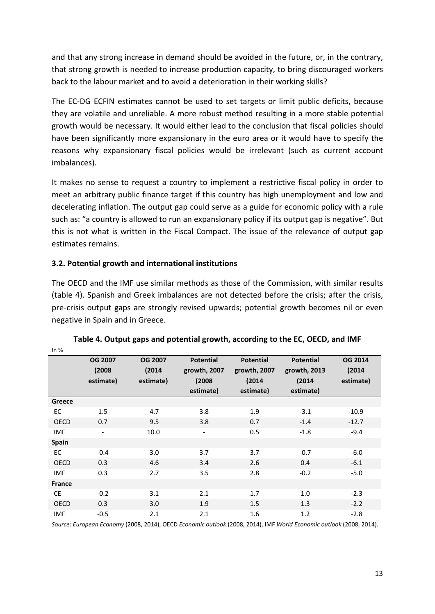and that any strong increase in demand should be avoided in the future, or, in the contrary, that strong growth is needed to increase production capacity, to bring discouraged workers back to the labour market and to avoid a deterioration in their working skills?

The EC-DG ECFIN estimates cannot be used to set targets or limit public deficits, because they are volatile and unreliable. A more robust method resulting in a more stable potential growth would be necessary. It would either lead to the conclusion that fiscal policies should have been significantly more expansionary in the euro area or it would have to specify the reasons why expansionary fiscal policies would be irrelevant (such as current account imbalances).

It makes no sense to request a country to implement a restrictive fiscal policy in order to meet an arbitrary public finance target if this country has high unemployment and low and decelerating inflation. The output gap could serve as a guide for economic policy with a rule such as: "a country is allowed to run an expansionary policy if its output gap is negative". But this is not what is written in the Fiscal Compact. The issue of the relevance of output gap estimates remains.

## **3.2. Potential growth and international institutions**

 $\ln 0$ 

The OECD and the IMF use similar methods as those of the Commission, with similar results (table 4). Spanish and Greek imbalances are not detected before the crisis; after the crisis, pre-crisis output gaps are strongly revised upwards; potential growth becomes nil or even negative in Spain and in Greece.

| ,,,,,         |                          |           |                          |                  |                  |           |
|---------------|--------------------------|-----------|--------------------------|------------------|------------------|-----------|
|               | OG 2007                  | OG 2007   | <b>Potential</b>         | <b>Potential</b> | <b>Potential</b> | OG 2014   |
|               | (2008)                   | (2014)    | growth, 2007             | growth, 2007     | growth, 2013     | (2014)    |
|               | estimate)                | estimate) | (2008)                   | (2014)           | (2014)           | estimate) |
|               |                          |           | estimate)                | estimate)        | estimate)        |           |
| Greece        |                          |           |                          |                  |                  |           |
| EC            | 1.5                      | 4.7       | 3.8                      | 1.9              | $-3.1$           | $-10.9$   |
| <b>OECD</b>   | 0.7                      | 9.5       | 3.8                      | 0.7              | $-1.4$           | $-12.7$   |
| <b>IMF</b>    | $\overline{\phantom{a}}$ | 10.0      | $\overline{\phantom{a}}$ | 0.5              | $-1.8$           | $-9.4$    |
| Spain         |                          |           |                          |                  |                  |           |
| EC            | $-0.4$                   | 3.0       | 3.7                      | 3.7              | $-0.7$           | $-6.0$    |
| OECD          | 0.3                      | 4.6       | 3.4                      | 2.6              | 0.4              | $-6.1$    |
| <b>IMF</b>    | 0.3                      | 2.7       | 3.5                      | 2.8              | $-0.2$           | $-5.0$    |
| <b>France</b> |                          |           |                          |                  |                  |           |
| <b>CE</b>     | $-0.2$                   | 3.1       | 2.1                      | 1.7              | 1.0              | $-2.3$    |
| <b>OECD</b>   | 0.3                      | 3.0       | 1.9                      | 1.5              | 1.3              | $-2.2$    |
| <b>IMF</b>    | $-0.5$                   | 2.1       | 2.1                      | 1.6              | 1.2              | $-2.8$    |

|  | Table 4. Output gaps and potential growth, according to the EC, OECD, and IMF |  |  |
|--|-------------------------------------------------------------------------------|--|--|
|--|-------------------------------------------------------------------------------|--|--|

*Source*: *European Economy* (2008, 2014), OECD *Economic outlook* (2008, 2014), IMF *World Economic outlook* (2008, 2014).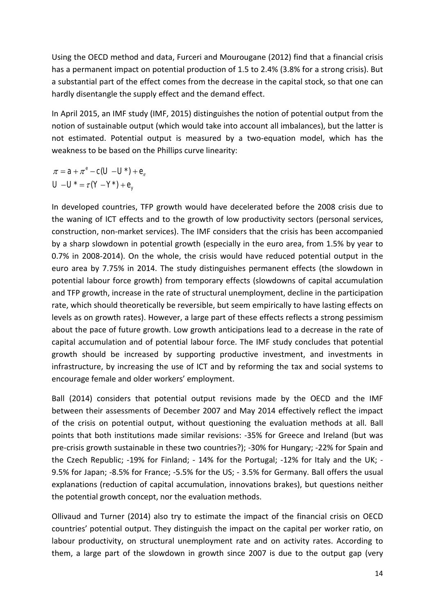Using the OECD method and data, Furceri and Mourougane (2012) find that a financial crisis has a permanent impact on potential production of 1.5 to 2.4% (3.8% for a strong crisis). But a substantial part of the effect comes from the decrease in the capital stock, so that one can hardly disentangle the supply effect and the demand effect.

In April 2015, an IMF study (IMF, 2015) distinguishes the notion of potential output from the notion of sustainable output (which would take into account all imbalances), but the latter is not estimated. Potential output is measured by a two-equation model, which has the weakness to be based on the Phillips curve linearity:

 $\pi = a + \pi^e - c(U - U^*) + e_{\pi}$  $U-U^* = \tau (Y-Y^*) + e_y$ 

In developed countries, TFP growth would have decelerated before the 2008 crisis due to the waning of ICT effects and to the growth of low productivity sectors (personal services, construction, non-market services). The IMF considers that the crisis has been accompanied by a sharp slowdown in potential growth (especially in the euro area, from 1.5% by year to 0.7% in 2008-2014). On the whole, the crisis would have reduced potential output in the euro area by 7.75% in 2014. The study distinguishes permanent effects (the slowdown in potential labour force growth) from temporary effects (slowdowns of capital accumulation and TFP growth, increase in the rate of structural unemployment, decline in the participation rate, which should theoretically be reversible, but seem empirically to have lasting effects on levels as on growth rates). However, a large part of these effects reflects a strong pessimism about the pace of future growth. Low growth anticipations lead to a decrease in the rate of capital accumulation and of potential labour force. The IMF study concludes that potential growth should be increased by supporting productive investment, and investments in infrastructure, by increasing the use of ICT and by reforming the tax and social systems to encourage female and older workers' employment.

Ball (2014) considers that potential output revisions made by the OECD and the IMF between their assessments of December 2007 and May 2014 effectively reflect the impact of the crisis on potential output, without questioning the evaluation methods at all. Ball points that both institutions made similar revisions: -35% for Greece and Ireland (but was pre-crisis growth sustainable in these two countries?); -30% for Hungary; -22% for Spain and the Czech Republic; -19% for Finland; - 14% for the Portugal; -12% for Italy and the UK; - 9.5% for Japan; -8.5% for France; -5.5% for the US; - 3.5% for Germany. Ball offers the usual explanations (reduction of capital accumulation, innovations brakes), but questions neither the potential growth concept, nor the evaluation methods.

Ollivaud and Turner (2014) also try to estimate the impact of the financial crisis on OECD countries' potential output. They distinguish the impact on the capital per worker ratio, on labour productivity, on structural unemployment rate and on activity rates. According to them, a large part of the slowdown in growth since 2007 is due to the output gap (very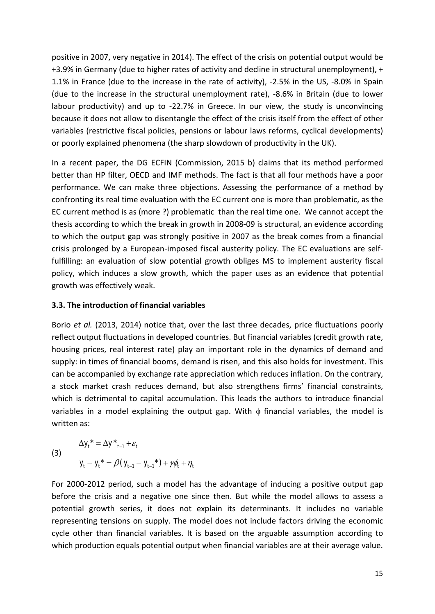positive in 2007, very negative in 2014). The effect of the crisis on potential output would be +3.9% in Germany (due to higher rates of activity and decline in structural unemployment), + 1.1% in France (due to the increase in the rate of activity), -2.5% in the US, -8.0% in Spain (due to the increase in the structural unemployment rate), -8.6% in Britain (due to lower labour productivity) and up to -22.7% in Greece. In our view, the study is unconvincing because it does not allow to disentangle the effect of the crisis itself from the effect of other variables (restrictive fiscal policies, pensions or labour laws reforms, cyclical developments) or poorly explained phenomena (the sharp slowdown of productivity in the UK).

In a recent paper, the DG ECFIN (Commission, 2015 b) claims that its method performed better than HP filter, OECD and IMF methods. The fact is that all four methods have a poor performance. We can make three objections. Assessing the performance of a method by confronting its real time evaluation with the EC current one is more than problematic, as the EC current method is as (more ?) problematic than the real time one. We cannot accept the thesis according to which the break in growth in 2008-09 is structural, an evidence according to which the output gap was strongly positive in 2007 as the break comes from a financial crisis prolonged by a European-imposed fiscal austerity policy. The EC evaluations are selffulfilling: an evaluation of slow potential growth obliges MS to implement austerity fiscal policy, which induces a slow growth, which the paper uses as an evidence that potential growth was effectively weak.

#### **3.3. The introduction of financial variables**

Borio *et al.* (2013, 2014) notice that, over the last three decades, price fluctuations poorly reflect output fluctuations in developed countries. But financial variables (credit growth rate, housing prices, real interest rate) play an important role in the dynamics of demand and supply: in times of financial booms, demand is risen, and this also holds for investment. This can be accompanied by exchange rate appreciation which reduces inflation. On the contrary, a stock market crash reduces demand, but also strengthens firms' financial constraints, which is detrimental to capital accumulation. This leads the authors to introduce financial variables in a model explaining the output gap. With φ financial variables, the model is written as:

(3)

$$
y_t - y_t^* = \beta(y_{t-1} - y_{t-1}^*) + \gamma \phi_t + \eta_t
$$

 $\Delta y_t^* = \Delta y_{t-1}^* + \varepsilon_t$ 

For 2000-2012 period, such a model has the advantage of inducing a positive output gap before the crisis and a negative one since then. But while the model allows to assess a potential growth series, it does not explain its determinants. It includes no variable representing tensions on supply. The model does not include factors driving the economic cycle other than financial variables. It is based on the arguable assumption according to which production equals potential output when financial variables are at their average value.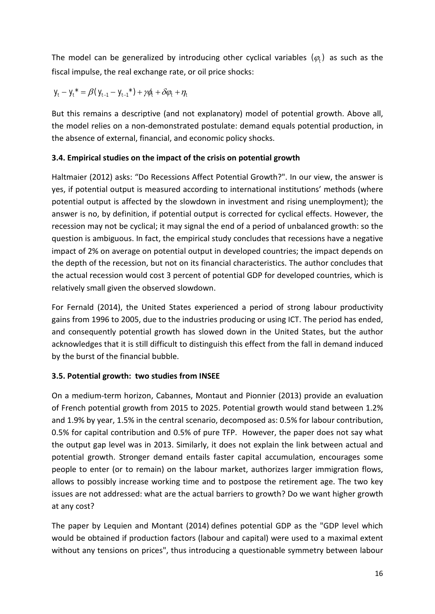The model can be generalized by introducing other cyclical variables  $(\varphi_t)$  as such as the fiscal impulse, the real exchange rate, or oil price shocks:

$$
y_{t} - y_{t}^* = \beta(y_{t-1} - y_{t-1}^*) + \gamma \phi_{t} + \delta \phi_{t} + \eta_{t}
$$

But this remains a descriptive (and not explanatory) model of potential growth. Above all, the model relies on a non-demonstrated postulate: demand equals potential production, in the absence of external, financial, and economic policy shocks.

## **3.4. Empirical studies on the impact of the crisis on potential growth**

Haltmaier (2012) asks: "Do Recessions Affect Potential Growth?". In our view, the answer is yes, if potential output is measured according to international institutions' methods (where potential output is affected by the slowdown in investment and rising unemployment); the answer is no, by definition, if potential output is corrected for cyclical effects. However, the recession may not be cyclical; it may signal the end of a period of unbalanced growth: so the question is ambiguous. In fact, the empirical study concludes that recessions have a negative impact of 2% on average on potential output in developed countries; the impact depends on the depth of the recession, but not on its financial characteristics. The author concludes that the actual recession would cost 3 percent of potential GDP for developed countries, which is relatively small given the observed slowdown.

For Fernald (2014), the United States experienced a period of strong labour productivity gains from 1996 to 2005, due to the industries producing or using ICT. The period has ended, and consequently potential growth has slowed down in the United States, but the author acknowledges that it is still difficult to distinguish this effect from the fall in demand induced by the burst of the financial bubble.

## **3.5. Potential growth: two studies from INSEE**

On a medium-term horizon, Cabannes, Montaut and Pionnier (2013) provide an evaluation of French potential growth from 2015 to 2025. Potential growth would stand between 1.2% and 1.9% by year, 1.5% in the central scenario, decomposed as: 0.5% for labour contribution, 0.5% for capital contribution and 0.5% of pure TFP. However, the paper does not say what the output gap level was in 2013. Similarly, it does not explain the link between actual and potential growth. Stronger demand entails faster capital accumulation, encourages some people to enter (or to remain) on the labour market, authorizes larger immigration flows, allows to possibly increase working time and to postpose the retirement age. The two key issues are not addressed: what are the actual barriers to growth? Do we want higher growth at any cost?

The paper by Lequien and Montant (2014) defines potential GDP as the "GDP level which would be obtained if production factors (labour and capital) were used to a maximal extent without any tensions on prices", thus introducing a questionable symmetry between labour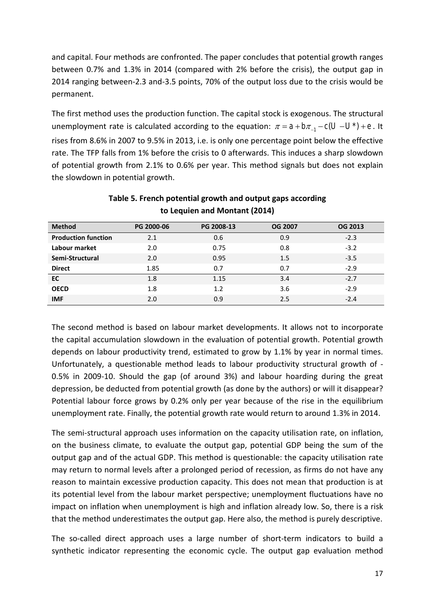and capital. Four methods are confronted. The paper concludes that potential growth ranges between 0.7% and 1.3% in 2014 (compared with 2% before the crisis), the output gap in 2014 ranging between-2.3 and-3.5 points, 70% of the output loss due to the crisis would be permanent.

The first method uses the production function. The capital stock is exogenous. The structural unemployment rate is calculated according to the equation:  $\pi = a + b\pi_{-1} - c(U - U^*) + e$ . It rises from 8.6% in 2007 to 9.5% in 2013, i.e. is only one percentage point below the effective rate. The TFP falls from 1% before the crisis to 0 afterwards. This induces a sharp slowdown of potential growth from 2.1% to 0.6% per year. This method signals but does not explain the slowdown in potential growth.

| <b>Method</b>              | PG 2000-06 | PG 2008-13 | OG 2007 | OG 2013 |
|----------------------------|------------|------------|---------|---------|
| <b>Production function</b> | 2.1        | 0.6        | 0.9     | $-2.3$  |
| Labour market              | 2.0        | 0.75       | 0.8     | $-3.2$  |
| Semi-Structural            | 2.0        | 0.95       | 1.5     | $-3.5$  |
| <b>Direct</b>              | 1.85       | 0.7        | 0.7     | $-2.9$  |
| <b>EC</b>                  | 1.8        | 1.15       | 3.4     | $-2.7$  |
| <b>OECD</b>                | 1.8        | 1.2        | 3.6     | $-2.9$  |
| <b>IMF</b>                 | 2.0        | 0.9        | 2.5     | $-2.4$  |

## **Table 5. French potential growth and output gaps according to Lequien and Montant (2014)**

The second method is based on labour market developments. It allows not to incorporate the capital accumulation slowdown in the evaluation of potential growth. Potential growth depends on labour productivity trend, estimated to grow by 1.1% by year in normal times. Unfortunately, a questionable method leads to labour productivity structural growth of - 0.5% in 2009-10. Should the gap (of around 3%) and labour hoarding during the great depression, be deducted from potential growth (as done by the authors) or will it disappear? Potential labour force grows by 0.2% only per year because of the rise in the equilibrium unemployment rate. Finally, the potential growth rate would return to around 1.3% in 2014.

The semi-structural approach uses information on the capacity utilisation rate, on inflation, on the business climate, to evaluate the output gap, potential GDP being the sum of the output gap and of the actual GDP. This method is questionable: the capacity utilisation rate may return to normal levels after a prolonged period of recession, as firms do not have any reason to maintain excessive production capacity. This does not mean that production is at its potential level from the labour market perspective; unemployment fluctuations have no impact on inflation when unemployment is high and inflation already low. So, there is a risk that the method underestimates the output gap. Here also, the method is purely descriptive.

The so-called direct approach uses a large number of short-term indicators to build a synthetic indicator representing the economic cycle. The output gap evaluation method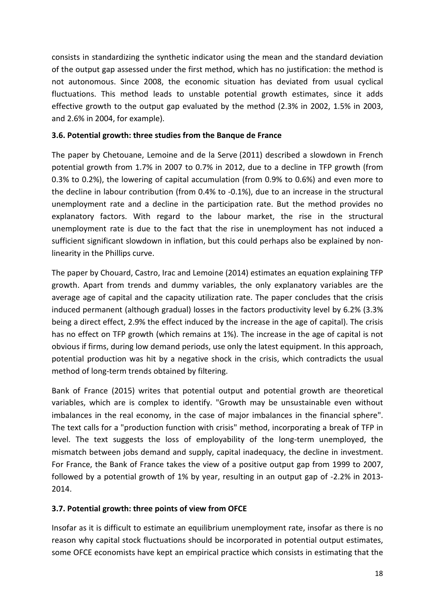consists in standardizing the synthetic indicator using the mean and the standard deviation of the output gap assessed under the first method, which has no justification: the method is not autonomous. Since 2008, the economic situation has deviated from usual cyclical fluctuations. This method leads to unstable potential growth estimates, since it adds effective growth to the output gap evaluated by the method (2.3% in 2002, 1.5% in 2003, and 2.6% in 2004, for example).

## **3.6. Potential growth: three studies from the Banque de France**

The paper by Chetouane, Lemoine and de la Serve (2011) described a slowdown in French potential growth from 1.7% in 2007 to 0.7% in 2012, due to a decline in TFP growth (from 0.3% to 0.2%), the lowering of capital accumulation (from 0.9% to 0.6%) and even more to the decline in labour contribution (from 0.4% to -0.1%), due to an increase in the structural unemployment rate and a decline in the participation rate. But the method provides no explanatory factors. With regard to the labour market, the rise in the structural unemployment rate is due to the fact that the rise in unemployment has not induced a sufficient significant slowdown in inflation, but this could perhaps also be explained by nonlinearity in the Phillips curve.

The paper by Chouard, Castro, Irac and Lemoine (2014) estimates an equation explaining TFP growth. Apart from trends and dummy variables, the only explanatory variables are the average age of capital and the capacity utilization rate. The paper concludes that the crisis induced permanent (although gradual) losses in the factors productivity level by 6.2% (3.3% being a direct effect, 2.9% the effect induced by the increase in the age of capital). The crisis has no effect on TFP growth (which remains at 1%). The increase in the age of capital is not obvious if firms, during low demand periods, use only the latest equipment. In this approach, potential production was hit by a negative shock in the crisis, which contradicts the usual method of long-term trends obtained by filtering.

Bank of France (2015) writes that potential output and potential growth are theoretical variables, which are is complex to identify. "Growth may be unsustainable even without imbalances in the real economy, in the case of major imbalances in the financial sphere". The text calls for a "production function with crisis" method, incorporating a break of TFP in level. The text suggests the loss of employability of the long-term unemployed, the mismatch between jobs demand and supply, capital inadequacy, the decline in investment. For France, the Bank of France takes the view of a positive output gap from 1999 to 2007, followed by a potential growth of 1% by year, resulting in an output gap of -2.2% in 2013- 2014.

### **3.7. Potential growth: three points of view from OFCE**

Insofar as it is difficult to estimate an equilibrium unemployment rate, insofar as there is no reason why capital stock fluctuations should be incorporated in potential output estimates, some OFCE economists have kept an empirical practice which consists in estimating that the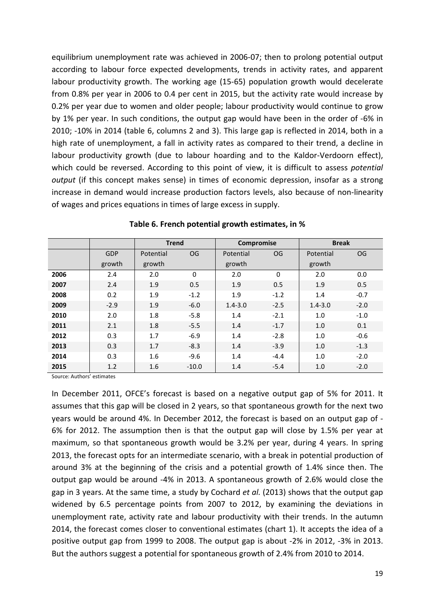equilibrium unemployment rate was achieved in 2006-07; then to prolong potential output according to labour force expected developments, trends in activity rates, and apparent labour productivity growth. The working age (15-65) population growth would decelerate from 0.8% per year in 2006 to 0.4 per cent in 2015, but the activity rate would increase by 0.2% per year due to women and older people; labour productivity would continue to grow by 1% per year. In such conditions, the output gap would have been in the order of -6% in 2010; -10% in 2014 (table 6, columns 2 and 3). This large gap is reflected in 2014, both in a high rate of unemployment, a fall in activity rates as compared to their trend, a decline in labour productivity growth (due to labour hoarding and to the Kaldor-Verdoorn effect), which could be reversed. According to this point of view, it is difficult to assess *potential output* (if this concept makes sense) in times of economic depression, insofar as a strong increase in demand would increase production factors levels, also because of non-linearity of wages and prices equations in times of large excess in supply.

|      | <b>Trend</b> |           | Compromise |             | <b>Break</b> |             |        |
|------|--------------|-----------|------------|-------------|--------------|-------------|--------|
|      | GDP          | Potential | OG         | Potential   | <b>OG</b>    | Potential   | OG     |
|      | growth       | growth    |            | growth      |              | growth      |        |
| 2006 | 2.4          | 2.0       | $\Omega$   | 2.0         | $\mathbf{0}$ | 2.0         | 0.0    |
| 2007 | 2.4          | 1.9       | 0.5        | 1.9         | 0.5          | 1.9         | 0.5    |
| 2008 | 0.2          | 1.9       | $-1.2$     | 1.9         | $-1.2$       | 1.4         | $-0.7$ |
| 2009 | $-2.9$       | 1.9       | $-6.0$     | $1.4 - 3.0$ | $-2.5$       | $1.4 - 3.0$ | $-2.0$ |
| 2010 | 2.0          | 1.8       | $-5.8$     | 1.4         | $-2.1$       | 1.0         | $-1.0$ |
| 2011 | 2.1          | 1.8       | $-5.5$     | 1.4         | $-1.7$       | 1.0         | 0.1    |
| 2012 | 0.3          | 1.7       | $-6.9$     | 1.4         | $-2.8$       | 1.0         | $-0.6$ |
| 2013 | 0.3          | 1.7       | $-8.3$     | 1.4         | $-3.9$       | 1.0         | $-1.3$ |
| 2014 | 0.3          | 1.6       | $-9.6$     | 1.4         | $-4.4$       | 1.0         | $-2.0$ |
| 2015 | 1.2          | 1.6       | $-10.0$    | 1.4         | $-5.4$       | 1.0         | $-2.0$ |

**Table 6. French potential growth estimates, in %**

Source: Authors' estimates

In December 2011, OFCE's forecast is based on a negative output gap of 5% for 2011. It assumes that this gap will be closed in 2 years, so that spontaneous growth for the next two years would be around 4%. In December 2012, the forecast is based on an output gap of - 6% for 2012. The assumption then is that the output gap will close by 1.5% per year at maximum, so that spontaneous growth would be 3.2% per year, during 4 years. In spring 2013, the forecast opts for an intermediate scenario, with a break in potential production of around 3% at the beginning of the crisis and a potential growth of 1.4% since then. The output gap would be around -4% in 2013. A spontaneous growth of 2.6% would close the gap in 3 years. At the same time, a study by Cochard *et al.* (2013) shows that the output gap widened by 6.5 percentage points from 2007 to 2012, by examining the deviations in unemployment rate, activity rate and labour productivity with their trends. In the autumn 2014, the forecast comes closer to conventional estimates (chart 1). It accepts the idea of a positive output gap from 1999 to 2008. The output gap is about -2% in 2012, -3% in 2013. But the authors suggest a potential for spontaneous growth of 2.4% from 2010 to 2014.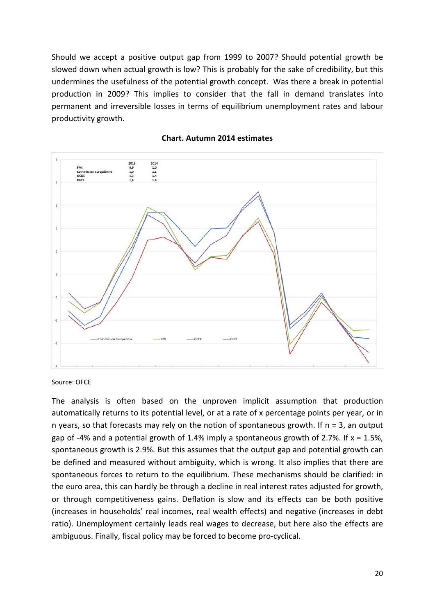Should we accept a positive output gap from 1999 to 2007? Should potential growth be slowed down when actual growth is low? This is probably for the sake of credibility, but this undermines the usefulness of the potential growth concept. Was there a break in potential production in 2009? This implies to consider that the fall in demand translates into permanent and irreversible losses in terms of equilibrium unemployment rates and labour productivity growth.



#### **Chart. Autumn 2014 estimates**

#### Source: OFCE

The analysis is often based on the unproven implicit assumption that production automatically returns to its potential level, or at a rate of x percentage points per year, or in n years, so that forecasts may rely on the notion of spontaneous growth. If  $n = 3$ , an output gap of -4% and a potential growth of 1.4% imply a spontaneous growth of 2.7%. If  $x = 1.5$ %, spontaneous growth is 2.9%. But this assumes that the output gap and potential growth can be defined and measured without ambiguity, which is wrong. It also implies that there are spontaneous forces to return to the equilibrium. These mechanisms should be clarified: in the euro area, this can hardly be through a decline in real interest rates adjusted for growth, or through competitiveness gains. Deflation is slow and its effects can be both positive (increases in households' real incomes, real wealth effects) and negative (increases in debt ratio). Unemployment certainly leads real wages to decrease, but here also the effects are ambiguous. Finally, fiscal policy may be forced to become pro-cyclical.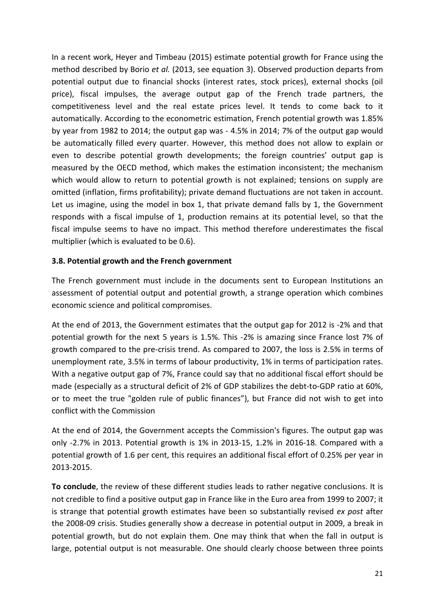In a recent work, Heyer and Timbeau (2015) estimate potential growth for France using the method described by Borio *et al.* (2013, see equation 3). Observed production departs from potential output due to financial shocks (interest rates, stock prices), external shocks (oil price), fiscal impulses, the average output gap of the French trade partners, the competitiveness level and the real estate prices level. It tends to come back to it automatically. According to the econometric estimation, French potential growth was 1.85% by year from 1982 to 2014; the output gap was - 4.5% in 2014; 7% of the output gap would be automatically filled every quarter. However, this method does not allow to explain or even to describe potential growth developments; the foreign countries' output gap is measured by the OECD method, which makes the estimation inconsistent; the mechanism which would allow to return to potential growth is not explained; tensions on supply are omitted (inflation, firms profitability); private demand fluctuations are not taken in account. Let us imagine, using the model in box 1, that private demand falls by 1, the Government responds with a fiscal impulse of 1, production remains at its potential level, so that the fiscal impulse seems to have no impact. This method therefore underestimates the fiscal multiplier (which is evaluated to be 0.6).

### **3.8. Potential growth and the French government**

The French government must include in the documents sent to European Institutions an assessment of potential output and potential growth, a strange operation which combines economic science and political compromises.

At the end of 2013, the Government estimates that the output gap for 2012 is -2% and that potential growth for the next 5 years is 1.5%. This -2% is amazing since France lost 7% of growth compared to the pre-crisis trend. As compared to 2007, the loss is 2.5% in terms of unemployment rate, 3.5% in terms of labour productivity, 1% in terms of participation rates. With a negative output gap of 7%, France could say that no additional fiscal effort should be made (especially as a structural deficit of 2% of GDP stabilizes the debt-to-GDP ratio at 60%, or to meet the true "golden rule of public finances"), but France did not wish to get into conflict with the Commission

At the end of 2014, the Government accepts the Commission's figures. The output gap was only -2.7% in 2013. Potential growth is 1% in 2013-15, 1.2% in 2016-18. Compared with a potential growth of 1.6 per cent, this requires an additional fiscal effort of 0.25% per year in 2013-2015.

**To conclude**, the review of these different studies leads to rather negative conclusions. It is not credible to find a positive output gap in France like in the Euro area from 1999 to 2007; it is strange that potential growth estimates have been so substantially revised *ex post* after the 2008-09 crisis. Studies generally show a decrease in potential output in 2009, a break in potential growth, but do not explain them. One may think that when the fall in output is large, potential output is not measurable. One should clearly choose between three points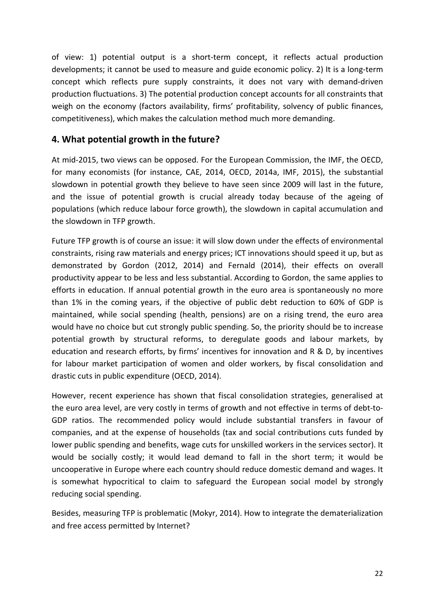of view: 1) potential output is a short-term concept, it reflects actual production developments; it cannot be used to measure and guide economic policy. 2) It is a long-term concept which reflects pure supply constraints, it does not vary with demand-driven production fluctuations. 3) The potential production concept accounts for all constraints that weigh on the economy (factors availability, firms' profitability, solvency of public finances, competitiveness), which makes the calculation method much more demanding.

## **4. What potential growth in the future?**

At mid-2015, two views can be opposed. For the European Commission, the IMF, the OECD, for many economists (for instance, CAE, 2014, OECD, 2014a, IMF, 2015), the substantial slowdown in potential growth they believe to have seen since 2009 will last in the future, and the issue of potential growth is crucial already today because of the ageing of populations (which reduce labour force growth), the slowdown in capital accumulation and the slowdown in TFP growth.

Future TFP growth is of course an issue: it will slow down under the effects of environmental constraints, rising raw materials and energy prices; ICT innovations should speed it up, but as demonstrated by Gordon (2012, 2014) and Fernald (2014), their effects on overall productivity appear to be less and less substantial. According to Gordon, the same applies to efforts in education. If annual potential growth in the euro area is spontaneously no more than 1% in the coming years, if the objective of public debt reduction to 60% of GDP is maintained, while social spending (health, pensions) are on a rising trend, the euro area would have no choice but cut strongly public spending. So, the priority should be to increase potential growth by structural reforms, to deregulate goods and labour markets, by education and research efforts, by firms' incentives for innovation and R & D, by incentives for labour market participation of women and older workers, by fiscal consolidation and drastic cuts in public expenditure (OECD, 2014).

However, recent experience has shown that fiscal consolidation strategies, generalised at the euro area level, are very costly in terms of growth and not effective in terms of debt-to-GDP ratios. The recommended policy would include substantial transfers in favour of companies, and at the expense of households (tax and social contributions cuts funded by lower public spending and benefits, wage cuts for unskilled workers in the services sector). It would be socially costly; it would lead demand to fall in the short term; it would be uncooperative in Europe where each country should reduce domestic demand and wages. It is somewhat hypocritical to claim to safeguard the European social model by strongly reducing social spending.

Besides, measuring TFP is problematic (Mokyr, 2014). How to integrate the dematerialization and free access permitted by Internet?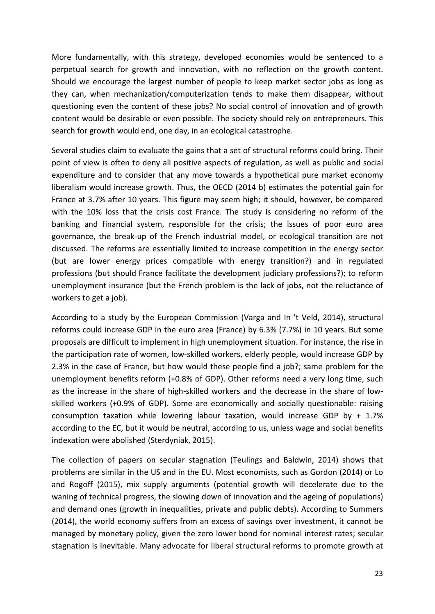More fundamentally, with this strategy, developed economies would be sentenced to a perpetual search for growth and innovation, with no reflection on the growth content. Should we encourage the largest number of people to keep market sector jobs as long as they can, when mechanization/computerization tends to make them disappear, without questioning even the content of these jobs? No social control of innovation and of growth content would be desirable or even possible. The society should rely on entrepreneurs. This search for growth would end, one day, in an ecological catastrophe.

Several studies claim to evaluate the gains that a set of structural reforms could bring. Their point of view is often to deny all positive aspects of regulation, as well as public and social expenditure and to consider that any move towards a hypothetical pure market economy liberalism would increase growth. Thus, the OECD (2014 b) estimates the potential gain for France at 3.7% after 10 years. This figure may seem high; it should, however, be compared with the 10% loss that the crisis cost France. The study is considering no reform of the banking and financial system, responsible for the crisis; the issues of poor euro area governance, the break-up of the French industrial model, or ecological transition are not discussed. The reforms are essentially limited to increase competition in the energy sector (but are lower energy prices compatible with energy transition?) and in regulated professions (but should France facilitate the development judiciary professions?); to reform unemployment insurance (but the French problem is the lack of jobs, not the reluctance of workers to get a job).

According to a study by the European Commission (Varga and In 't Veld, 2014), structural reforms could increase GDP in the euro area (France) by 6.3% (7.7%) in 10 years. But some proposals are difficult to implement in high unemployment situation. For instance, the rise in the participation rate of women, low-skilled workers, elderly people, would increase GDP by 2.3% in the case of France, but how would these people find a job?; same problem for the unemployment benefits reform (+0.8% of GDP). Other reforms need a very long time, such as the increase in the share of high-skilled workers and the decrease in the share of lowskilled workers (+0.9% of GDP). Some are economically and socially questionable: raising consumption taxation while lowering labour taxation, would increase GDP by + 1.7% according to the EC, but it would be neutral, according to us, unless wage and social benefits indexation were abolished (Sterdyniak, 2015).

The collection of papers on secular stagnation (Teulings and Baldwin, 2014) shows that problems are similar in the US and in the EU. Most economists, such as Gordon (2014) or Lo and Rogoff (2015), mix supply arguments (potential growth will decelerate due to the waning of technical progress, the slowing down of innovation and the ageing of populations) and demand ones (growth in inequalities, private and public debts). According to Summers (2014), the world economy suffers from an excess of savings over investment, it cannot be managed by monetary policy, given the zero lower bond for nominal interest rates; secular stagnation is inevitable. Many advocate for liberal structural reforms to promote growth at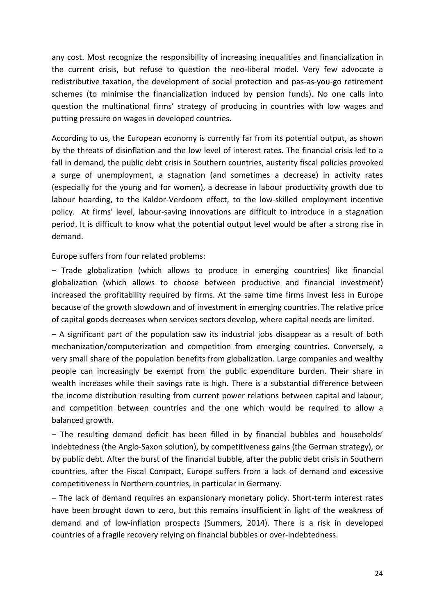any cost. Most recognize the responsibility of increasing inequalities and financialization in the current crisis, but refuse to question the neo-liberal model. Very few advocate a redistributive taxation, the development of social protection and pas-as-you-go retirement schemes (to minimise the financialization induced by pension funds). No one calls into question the multinational firms' strategy of producing in countries with low wages and putting pressure on wages in developed countries.

According to us, the European economy is currently far from its potential output, as shown by the threats of disinflation and the low level of interest rates. The financial crisis led to a fall in demand, the public debt crisis in Southern countries, austerity fiscal policies provoked a surge of unemployment, a stagnation (and sometimes a decrease) in activity rates (especially for the young and for women), a decrease in labour productivity growth due to labour hoarding, to the Kaldor-Verdoorn effect, to the low-skilled employment incentive policy. At firms' level, labour-saving innovations are difficult to introduce in a stagnation period. It is difficult to know what the potential output level would be after a strong rise in demand.

Europe suffers from four related problems:

– Trade globalization (which allows to produce in emerging countries) like financial globalization (which allows to choose between productive and financial investment) increased the profitability required by firms. At the same time firms invest less in Europe because of the growth slowdown and of investment in emerging countries. The relative price of capital goods decreases when services sectors develop, where capital needs are limited.

– A significant part of the population saw its industrial jobs disappear as a result of both mechanization/computerization and competition from emerging countries. Conversely, a very small share of the population benefits from globalization. Large companies and wealthy people can increasingly be exempt from the public expenditure burden. Their share in wealth increases while their savings rate is high. There is a substantial difference between the income distribution resulting from current power relations between capital and labour, and competition between countries and the one which would be required to allow a balanced growth.

– The resulting demand deficit has been filled in by financial bubbles and households' indebtedness (the Anglo-Saxon solution), by competitiveness gains (the German strategy), or by public debt. After the burst of the financial bubble, after the public debt crisis in Southern countries, after the Fiscal Compact, Europe suffers from a lack of demand and excessive competitiveness in Northern countries, in particular in Germany.

– The lack of demand requires an expansionary monetary policy. Short-term interest rates have been brought down to zero, but this remains insufficient in light of the weakness of demand and of low-inflation prospects (Summers, 2014). There is a risk in developed countries of a fragile recovery relying on financial bubbles or over-indebtedness.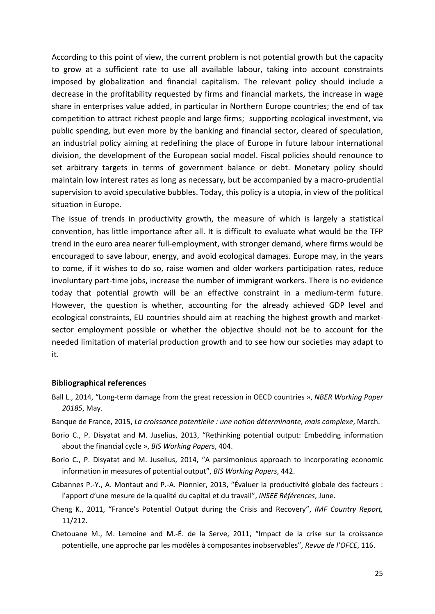According to this point of view, the current problem is not potential growth but the capacity to grow at a sufficient rate to use all available labour, taking into account constraints imposed by globalization and financial capitalism. The relevant policy should include a decrease in the profitability requested by firms and financial markets, the increase in wage share in enterprises value added, in particular in Northern Europe countries; the end of tax competition to attract richest people and large firms; supporting ecological investment, via public spending, but even more by the banking and financial sector, cleared of speculation, an industrial policy aiming at redefining the place of Europe in future labour international division, the development of the European social model. Fiscal policies should renounce to set arbitrary targets in terms of government balance or debt. Monetary policy should maintain low interest rates as long as necessary, but be accompanied by a macro-prudential supervision to avoid speculative bubbles. Today, this policy is a utopia, in view of the political situation in Europe.

The issue of trends in productivity growth, the measure of which is largely a statistical convention, has little importance after all. It is difficult to evaluate what would be the TFP trend in the euro area nearer full-employment, with stronger demand, where firms would be encouraged to save labour, energy, and avoid ecological damages. Europe may, in the years to come, if it wishes to do so, raise women and older workers participation rates, reduce involuntary part-time jobs, increase the number of immigrant workers. There is no evidence today that potential growth will be an effective constraint in a medium-term future. However, the question is whether, accounting for the already achieved GDP level and ecological constraints, EU countries should aim at reaching the highest growth and marketsector employment possible or whether the objective should not be to account for the needed limitation of material production growth and to see how our societies may adapt to it.

#### **Bibliographical references**

- Ball L., 2014, "Long-term damage from the great recession in OECD countries », *NBER Working Paper 20185*, May.
- Banque de France, 2015, *La croissance potentielle : une notion déterminante, mais complexe*, March.
- Borio C., P. Disyatat and M. Juselius, 2013, "Rethinking potential output: Embedding information about the financial cycle », *BIS Working Papers*, 404.
- Borio C., P. Disyatat and M. Juselius, 2014, "A parsimonious approach to incorporating economic information in measures of potential output", *BIS Working Papers*, 442.
- Cabannes P.-Y., A. Montaut and P.-A. Pionnier, 2013, "Évaluer la productivité globale des facteurs : l'apport d'une mesure de la qualité du capital et du travail", *INSEE Références*, June.
- Cheng K., 2011, "France's Potential Output during the Crisis and Recovery", *IMF Country Report,* 11/212.
- Chetouane M., M. Lemoine and M.-É. de la Serve, 2011, "Impact de la crise sur la croissance potentielle, une approche par les modèles à composantes inobservables", *Revue de l'OFCE*, 116.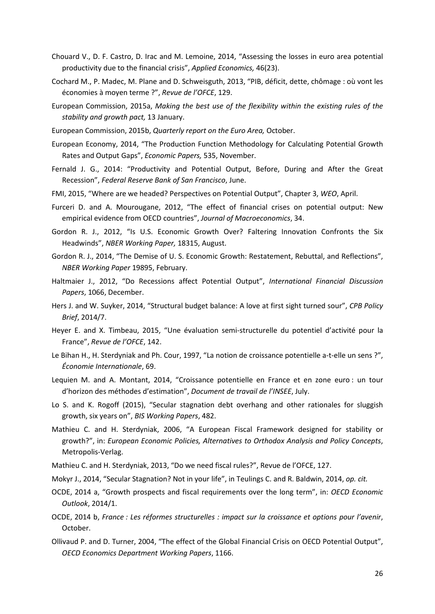- Chouard V., D. F. Castro, D. Irac and M. Lemoine, 2014, "Assessing the losses in euro area potential productivity due to the financial crisis", *Applied Economics,* 46(23).
- Cochard M., P. Madec, M. Plane and D. Schweisguth, 2013, "PIB, déficit, dette, chômage : où vont les économies à moyen terme ?", *Revue de l'OFCE*, 129.
- European Commission, 2015a, *Making the best use of the flexibility within the existing rules of the stability and growth pact,* 13 January.
- European Commission, 2015b, *Quarterly report on the Euro Area,* October.
- European Economy, 2014, "The Production Function Methodology for Calculating Potential Growth Rates and Output Gaps", *Economic Papers,* 535, November.
- Fernald J. G., 2014: "Productivity and Potential Output, Before, During and After the Great Recession", *Federal Reserve Bank of San Francisco*, June.
- FMI, 2015, "Where are we headed? Perspectives on Potential Output", Chapter 3, *WEO*, April.
- Furceri D. and A. Mourougane, 2012, "The effect of financial crises on potential output: New empirical evidence from OECD countries", *Journal of Macroeconomics*, 34.
- Gordon R. J., 2012, "Is U.S. Economic Growth Over? Faltering Innovation Confronts the Six Headwinds", *NBER Working Paper,* 18315, August.
- Gordon R. J., 2014, "The Demise of U. S. Economic Growth: Restatement, Rebuttal, and Reflections", *NBER Working Paper* 19895, February.
- Haltmaier J., 2012, "Do Recessions affect Potential Output", *International Financial Discussion Papers*, 1066, December.
- Hers J. and W. Suyker, 2014, "Structural budget balance: A love at first sight turned sour", *CPB Policy Brief*, 2014/7.
- Heyer E. and X. Timbeau, 2015, "Une évaluation semi-structurelle du potentiel d'activité pour la France", *Revue de l'OFCE*, 142.
- Le Bihan H., H. Sterdyniak and Ph. Cour, 1997, "La notion de croissance potentielle a-t-elle un sens ?", *Économie Internationale*, 69.
- Lequien M. and A. Montant, 2014, "Croissance potentielle en France et en zone euro : un tour d'horizon des méthodes d'estimation", *Document de travail de l'INSEE*, July.
- Lo S. and K. Rogoff (2015), "Secular stagnation debt overhang and other rationales for sluggish growth, six years on", *BIS Working Papers*, 482.
- Mathieu C. and H. Sterdyniak, 2006, "A European Fiscal Framework designed for stability or growth?", in: *European Economic Policies, Alternatives to Orthodox Analysis and Policy Concepts*, Metropolis-Verlag.
- Mathieu C. and H. Sterdyniak, 2013, ["Do we need fiscal rules?"](http://www.ofce.sciences-po.fr/pdf/dtravail/WP2012-08.pdf), Revue de l'OFCE, 127.
- Mokyr J., 2014, "Secular Stagnation? Not in your life", in Teulings C. and R. Baldwin, 2014, *op. cit.*
- OCDE, 2014 a, "Growth prospects and fiscal requirements over the long term", in: *OECD Economic Outlook*, 2014/1.
- OCDE, 2014 b, *France : Les réformes structurelles : impact sur la croissance et options pour l'avenir*, October.
- Ollivaud P. and D. Turner, 2004, "The effect of the Global Financial Crisis on OECD Potential Output", *OECD Economics Department Working Papers*, 1166.